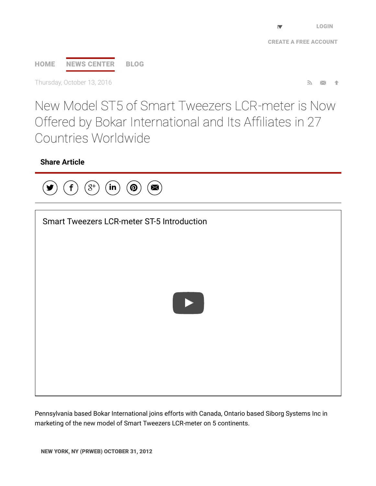CREATE A FREE [ACCOUNT](https://app.prweb.com/prweb/register.aspx)

# [HOME](http://www.prweb.com/) NEWS [CENTER](http://www.prweb.com/recentnews/) [BLOG](http://www.cision.com/us/blog/)

Thursday, October 13, 2016  $\blacksquare$ 

New Model ST5 of Smart Tweezers LCR-meter is Now Offered by Bokar International and Its Affiliates in 27 Countries Worldwide

## Share Article



| Smart Tweezers LCR-meter ST-5 Introduction |  |
|--------------------------------------------|--|
|                                            |  |
|                                            |  |
| $\blacktriangleright$                      |  |
|                                            |  |
|                                            |  |
|                                            |  |
|                                            |  |

Pennsylvania based Bokar International joins efforts with Canada, Ontario based Siborg Systems Inc in marketing of the new model of Smart Tweezers LCR-meter on 5 continents.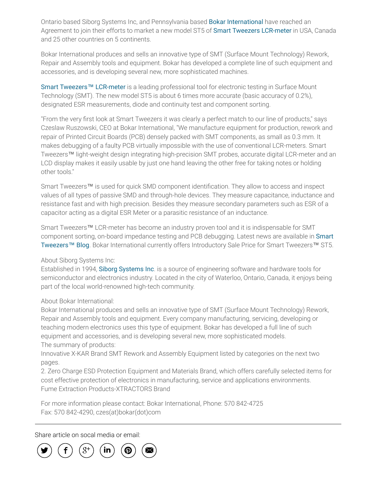Ontario based Siborg Systems Inc, and Pennsylvania based Bokar [International](http://www.prweb.net/Redirect.aspx?id=aHR0cDovL3d3dy5zbXQtdG9vbC5jb20v) have reached an Agreement to join their efforts to market a new model ST5 of Smart Tweezers [LCR-meter](http://www.prweb.net/Redirect.aspx?id=aHR0cDovL3d3dy5zbWFydHR3ZWV6ZXJzLnVz) in USA, Canada and 25 other countries on 5 continents.

Bokar International produces and sells an innovative type of SMT (Surface Mount Technology) Rework, Repair and Assembly tools and equipment. Bokar has developed a complete line of such equipment and accessories, and is developing several new, more sophisticated machines.

Smart Tweezers™ [LCR-meter](http://www.prweb.net/Redirect.aspx?id=aHR0cDovL3d3dy5zaWJvcmcuY29t) is a leading professional tool for electronic testing in Surface Mount Technology (SMT). The new model ST5 is about 6 times more accurate (basic accuracy of 0.2%), designated ESR measurements, diode and continuity test and component sorting.

"From the very ∱rst look at Smart Tweezers it was clearly a perfect match to our line of products," says Czeslaw Ruszowski, CEO at Bokar International, "We manufacture equipment for production, rework and repair of Printed Circuit Boards (PCB) densely packed with SMT components, as small as 0.3 mm. It makes debugging of a faulty PCB virtually impossible with the use of conventional LCR-meters. Smart Tweezers™ light-weight design integrating high-precision SMT probes, accurate digital LCR-meter and an LCD display makes it easily usable by just one hand leaving the other free for taking notes or holding other tools."

Smart Tweezers™ is used for quick SMD component identification. They allow to access and inspect values of all types of passive SMD and through-hole devices. They measure capacitance, inductance and resistance fast and with high precision. Besides they measure secondary parameters such as ESR of a capacitor acting as a digital ESR Meter or a parasitic resistance of an inductance.

Smart Tweezers™ LCR-meter has become an industry proven tool and it is indispensable for SMT component sorting, on-board impedance testing and PCB debugging. Latest news are available in Smart Tweezers™ Blog. Bokar [International](http://www.prweb.net/Redirect.aspx?id=aHR0cDovL3d3dy5zbWFydHR3ZWV6ZXJzLnVzL2Jsb2cv) currently offers Introductory Sale Price for Smart Tweezers™ ST5.

#### About Siborg Systems Inc:

Established in 1994, Siborg [Systems](http://www.prweb.net/Redirect.aspx?id=aHR0cDovL3d3dy5zbWFydHR3ZWV6ZXJzLmNh) Inc. is a source of engineering software and hardware tools for semiconductor and electronics industry. Located in the city of Waterloo, Ontario, Canada, it enjoys being part of the local world-renowned high-tech community.

### About Bokar International:

Bokar International produces and sells an innovative type of SMT (Surface Mount Technology) Rework, Repair and Assembly tools and equipment. Every company manufacturing, servicing, developing or teaching modern electronics uses this type of equipment. Bokar has developed a full line of such equipment and accessories, and is developing several new, more sophisticated models. The summary of products:

Innovative X-KAR Brand SMT Rework and Assembly Equipment listed by categories on the next two pages.

2. Zero Charge ESD Protection Equipment and Materials Brand, which offers carefully selected items for cost effective protection of electronics in manufacturing, service and applications environments. Fume Extraction Products-XTRACTORS Brand

For more information please contact: Bokar International, Phone: 570 842-4725 Fax: 570 842-4290, czes(at)bokar(dot)com

Share article on socal media or email:

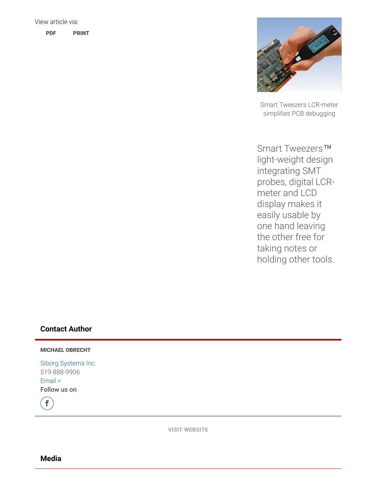

Smart Tweezers LCR-meter simpli∱es PCB debugging

Smart Tweezers<sup>™</sup> light-weight design integrating SMT probes, digital LCRmeter and LCD display makes it easily usable by one hand leaving the other free for taking notes or holding other tools.

### Contact Author

#### MICHAEL OBRECHT

Siborg [Systems](http://www.prweb.net/Redirect.aspx?id=aHR0cDovL3d3dy5zbWFydHR3ZWV6ZXJzLnVz) Inc. 519-888-9906 [Email](http://www.prweb.com/EmailContact.aspx?prid=10072072) > Follow us on

 $\mathbf f$ 

VISIT [WEBSITE](http://www.prweb.net/Redirect.aspx?id=aHR0cDovL3d3dy5zbWFydHR3ZWV6ZXJzLnVz)

Media